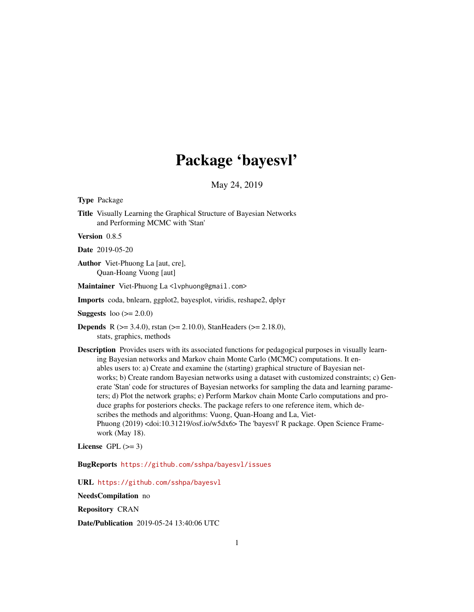# Package 'bayesvl'

May 24, 2019

<span id="page-0-0"></span>Type Package

Title Visually Learning the Graphical Structure of Bayesian Networks and Performing MCMC with 'Stan'

Version 0.8.5

Date 2019-05-20

Author Viet-Phuong La [aut, cre], Quan-Hoang Vuong [aut]

Maintainer Viet-Phuong La <lvphuong@gmail.com>

Imports coda, bnlearn, ggplot2, bayesplot, viridis, reshape2, dplyr

**Suggests** loo  $(>= 2.0.0)$ 

- Depends R (>= 3.4.0), rstan (>= 2.10.0), StanHeaders (>= 2.18.0), stats, graphics, methods
- Description Provides users with its associated functions for pedagogical purposes in visually learning Bayesian networks and Markov chain Monte Carlo (MCMC) computations. It enables users to: a) Create and examine the (starting) graphical structure of Bayesian networks; b) Create random Bayesian networks using a dataset with customized constraints; c) Generate 'Stan' code for structures of Bayesian networks for sampling the data and learning parameters; d) Plot the network graphs; e) Perform Markov chain Monte Carlo computations and produce graphs for posteriors checks. The package refers to one reference item, which describes the methods and algorithms: Vuong, Quan-Hoang and La, Viet-Phuong (2019) <doi:10.31219/osf.io/w5dx6> The 'bayesvl' R package. Open Science Framework (May 18).

License GPL  $(>= 3)$ 

BugReports <https://github.com/sshpa/bayesvl/issues>

URL <https://github.com/sshpa/bayesvl>

NeedsCompilation no

Repository CRAN

Date/Publication 2019-05-24 13:40:06 UTC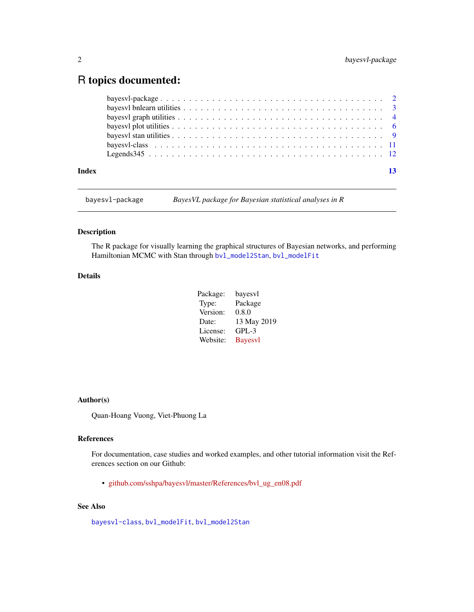# <span id="page-1-0"></span>R topics documented:

| Index | -13 |
|-------|-----|

bayesvl-package *BayesVL package for Bayesian statistical analyses in R*

# <span id="page-1-1"></span>**Description**

The R package for visually learning the graphical structures of Bayesian networks, and performing Hamiltonian MCMC with Stan through [bvl\\_model2Stan](#page-8-1), [bvl\\_modelFit](#page-8-1)

# Details

| Package: | bayesvl        |
|----------|----------------|
| Type:    | Package        |
| Version: | 0.8.0          |
| Date:    | 13 May 2019    |
| License: | $GPL-3$        |
| Website: | <b>Bayesvl</b> |

# Author(s)

Quan-Hoang Vuong, Viet-Phuong La

# References

For documentation, case studies and worked examples, and other tutorial information visit the References section on our Github:

• [github.com/sshpa/bayesvl/master/References/bvl\\_ug\\_en08.pdf](https://github.com/sshpa/bayesvl/raw/master/References/bvl_ug_en08.pdf)

# See Also

[bayesvl-class](#page-10-1), [bvl\\_modelFit](#page-8-1), [bvl\\_model2Stan](#page-8-1)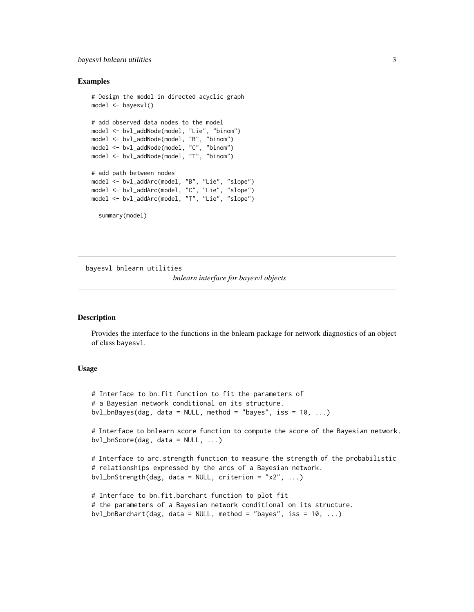# <span id="page-2-0"></span>bayesvl bnlearn utilities 3

## Examples

```
# Design the model in directed acyclic graph
model <- bayesvl()
# add observed data nodes to the model
model <- bvl_addNode(model, "Lie", "binom")
model <- bvl_addNode(model, "B", "binom")
model <- bvl_addNode(model, "C", "binom")
model <- bvl_addNode(model, "T", "binom")
# add path between nodes
model <- bvl_addArc(model, "B", "Lie", "slope")
model <- bvl_addArc(model, "C", "Lie", "slope")
model <- bvl_addArc(model, "T", "Lie", "slope")
  summary(model)
```
bayesvl bnlearn utilities *bnlearn interface for bayesvl objects*

# **Description**

Provides the interface to the functions in the bnlearn package for network diagnostics of an object of class bayesvl.

# Usage

```
# Interface to bn.fit function to fit the parameters of
# a Bayesian network conditional on its structure.
bvl_bnBayes(dag, data = NULL, method = "bayes", iss = 10, ...)# Interface to bnlearn score function to compute the score of the Bayesian network.
bvl_bnScore(dag, data = NULL, ...)# Interface to arc.strength function to measure the strength of the probabilistic
# relationships expressed by the arcs of a Bayesian network.
bvl_bnStrength(dag, data = NULL, criterion = "x2", ...)
# Interface to bn.fit.barchart function to plot fit
# the parameters of a Bayesian network conditional on its structure.
```

```
bvl_bnBarchart(dag, data = NULL, method = "bayes", iss = 10, ...)
```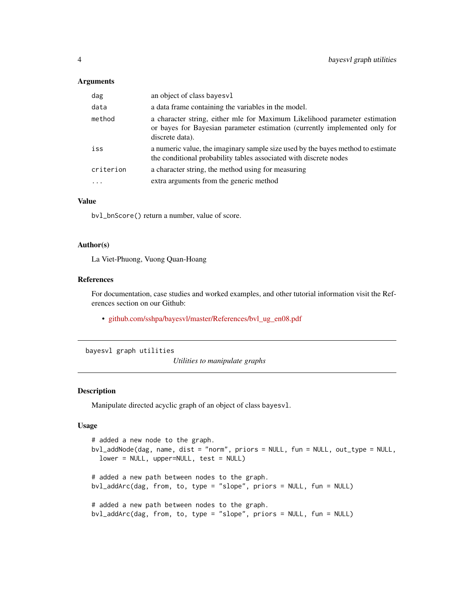#### <span id="page-3-0"></span>Arguments

| dag       | an object of class bayes vl                                                                                                                                                 |
|-----------|-----------------------------------------------------------------------------------------------------------------------------------------------------------------------------|
| data      | a data frame containing the variables in the model.                                                                                                                         |
| method    | a character string, either mle for Maximum Likelihood parameter estimation<br>or bayes for Bayesian parameter estimation (currently implemented only for<br>discrete data). |
| iss       | a numeric value, the imaginary sample size used by the bayes method to estimate<br>the conditional probability tables associated with discrete nodes                        |
| criterion | a character string, the method using for measuring                                                                                                                          |
|           | extra arguments from the generic method                                                                                                                                     |

# Value

bvl\_bnScore() return a number, value of score.

#### Author(s)

La Viet-Phuong, Vuong Quan-Hoang

# References

For documentation, case studies and worked examples, and other tutorial information visit the References section on our Github:

• [github.com/sshpa/bayesvl/master/References/bvl\\_ug\\_en08.pdf](https://github.com/sshpa/bayesvl/raw/master/References/bvl_ug_en08.pdf)

#### bayesvl graph utilities

*Utilities to manipulate graphs*

# Description

Manipulate directed acyclic graph of an object of class bayesvl.

#### Usage

```
# added a new node to the graph.
bvl_addNode(dag, name, dist = "norm", priors = NULL, fun = NULL, out_type = NULL,
  lower = NULL, upper=NULL, test = NULL)
# added a new path between nodes to the graph.
bvl_addArc(dag, from, to, type = "slope", priors = NULL, fun = NULL)
# added a new path between nodes to the graph.
bvl_addArc(dag, from, to, type = "slope", priors = NULL, fun = NULL)
```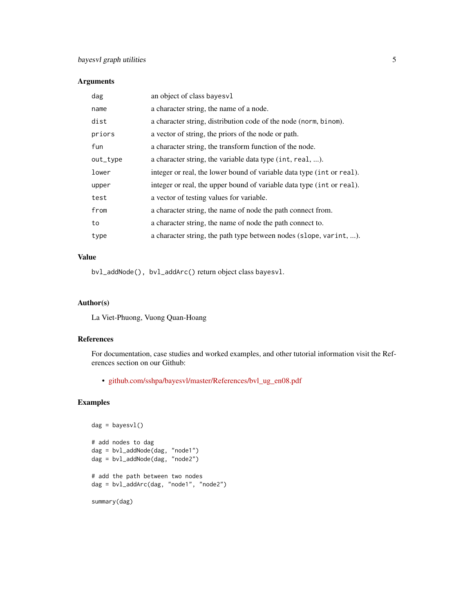# Arguments

| an object of class bayes vl                                           |
|-----------------------------------------------------------------------|
| a character string, the name of a node.                               |
| a character string, distribution code of the node (norm, binom).      |
| a vector of string, the priors of the node or path.                   |
| a character string, the transform function of the node.               |
| a character string, the variable data type (int, real, ).             |
| integer or real, the lower bound of variable data type (int or real). |
| integer or real, the upper bound of variable data type (int or real). |
| a vector of testing values for variable.                              |
| a character string, the name of node the path connect from.           |
| a character string, the name of node the path connect to.             |
| a character string, the path type between nodes (slope, varint, ).    |
|                                                                       |

# Value

bvl\_addNode(), bvl\_addArc() return object class bayesvl.

# Author(s)

La Viet-Phuong, Vuong Quan-Hoang

#### References

For documentation, case studies and worked examples, and other tutorial information visit the References section on our Github:

• [github.com/sshpa/bayesvl/master/References/bvl\\_ug\\_en08.pdf](https://github.com/sshpa/bayesvl/raw/master/References/bvl_ug_en08.pdf)

```
dag = bayesvl()
# add nodes to dag
dag = bvl_addNode(dag, "node1")
dag = bvl_addNode(dag, "node2")
# add the path between two nodes
dag = bvl_addArc(dag, "node1", "node2")
summary(dag)
```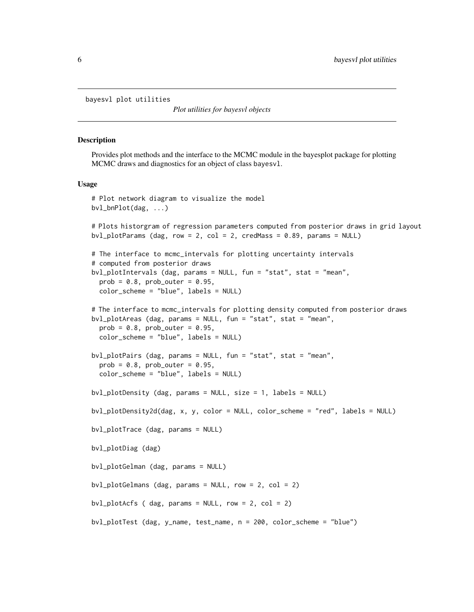<span id="page-5-0"></span>bayesvl plot utilities

*Plot utilities for bayesvl objects*

# **Description**

Provides plot methods and the interface to the MCMC module in the bayesplot package for plotting MCMC draws and diagnostics for an object of class bayesvl.

#### Usage

```
# Plot network diagram to visualize the model
bvl_bnPlot(dag, ...)
# Plots historgram of regression parameters computed from posterior draws in grid layout
bvl_plotParams (dag, row = 2, col = 2, credMass = 0.89, params = NULL)
# The interface to mcmc_intervals for plotting uncertainty intervals
# computed from posterior draws
bvl_plotIntervals (dag, params = NULL, fun = "stat", stat = "mean",
 prob = 0.8, prob_1 = 0.95,
  color_scheme = "blue", labels = NULL)
# The interface to mcmc_intervals for plotting density computed from posterior draws
bvl_plotAreas (dag, params = NULL, fun = "stat", stat = "mean",
 prob = 0.8, prob\_outer = 0.95,
 color_scheme = "blue", labels = NULL)
bvl_plotPairs (dag, params = NULL, fun = "stat", stat = "mean",
 prob = 0.8, prob_outer = 0.95,
 color_scheme = "blue", labels = NULL)
bvl_plotDensity (dag, params = NULL, size = 1, labels = NULL)
bvl_plotDensity2d(dag, x, y, color = NULL, color_scheme = "red", labels = NULL)
bvl_plotTrace (dag, params = NULL)
bvl_plotDiag (dag)
bvl_plotGelman (dag, params = NULL)
bvl_plotGelmans (dag, params = NULL, row = 2, col = 2)
bvl_plotAcfs ( dag, params = NULL, row = 2, col = 2)
bvl_plotTest (dag, y_name, test_name, n = 200, color_scheme = "blue")
```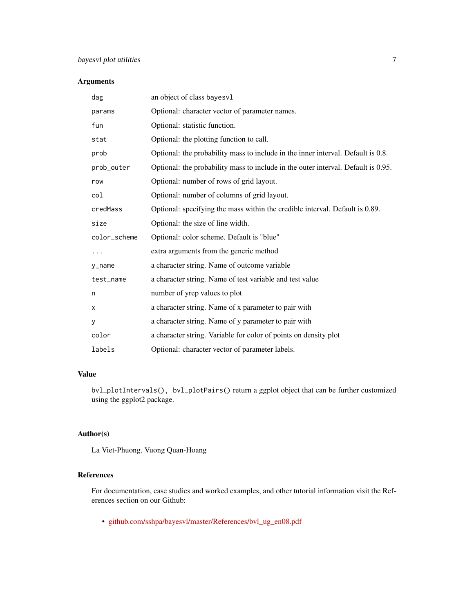# Arguments

| dag          | an object of class bayesvl                                                        |
|--------------|-----------------------------------------------------------------------------------|
| params       | Optional: character vector of parameter names.                                    |
| fun          | Optional: statistic function.                                                     |
| stat         | Optional: the plotting function to call.                                          |
| prob         | Optional: the probability mass to include in the inner interval. Default is 0.8.  |
| prob_outer   | Optional: the probability mass to include in the outer interval. Default is 0.95. |
| row          | Optional: number of rows of grid layout.                                          |
| col          | Optional: number of columns of grid layout.                                       |
| credMass     | Optional: specifying the mass within the credible interval. Default is 0.89.      |
| size         | Optional: the size of line width.                                                 |
| color_scheme | Optional: color scheme. Default is "blue"                                         |
|              | extra arguments from the generic method                                           |
| y_name       | a character string. Name of outcome variable                                      |
| test_name    | a character string. Name of test variable and test value                          |
| n            | number of yrep values to plot                                                     |
| х            | a character string. Name of x parameter to pair with                              |
| У            | a character string. Name of y parameter to pair with                              |
| color        | a character string. Variable for color of points on density plot                  |
| labels       | Optional: character vector of parameter labels.                                   |

# Value

bvl\_plotIntervals(), bvl\_plotPairs() return a ggplot object that can be further customized using the ggplot2 package.

# Author(s)

La Viet-Phuong, Vuong Quan-Hoang

# References

For documentation, case studies and worked examples, and other tutorial information visit the References section on our Github:

• [github.com/sshpa/bayesvl/master/References/bvl\\_ug\\_en08.pdf](https://github.com/sshpa/bayesvl/raw/master/References/bvl_ug_en08.pdf)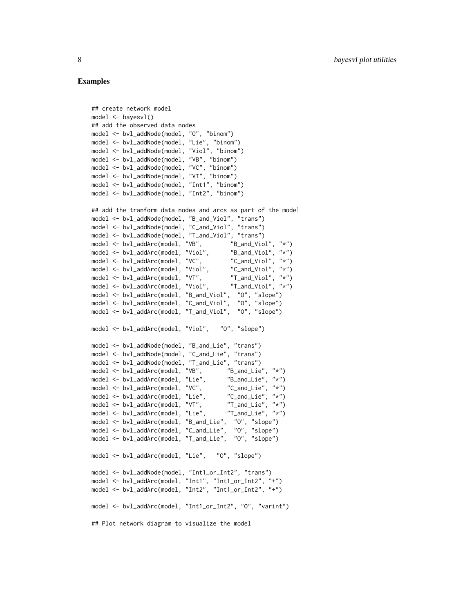#### Examples

## create network model

```
model <- bayesvl()
## add the observed data nodes
model <- bvl_addNode(model, "O", "binom")
model <- bvl_addNode(model, "Lie", "binom")
model <- bvl_addNode(model, "Viol", "binom")
model <- bvl_addNode(model, "VB", "binom")
model <- bvl_addNode(model, "VC", "binom")
model <- bvl_addNode(model, "VT", "binom")
model <- bvl_addNode(model, "Int1", "binom")
model <- bvl_addNode(model, "Int2", "binom")
## add the tranform data nodes and arcs as part of the model
model <- bvl_addNode(model, "B_and_Viol", "trans")
model <- bvl_addNode(model, "C_and_Viol", "trans")
model <- bvl_addNode(model, "T_and_Viol", "trans")
model <- bvl_addArc(model, "VB", "B_and_Viol", "*")
model <- bvl_addArc(model, "Viol", "B_and_Viol", "*")<br>model <- bvl_addArc(model, "VC", "C_and_Viol", "*")
model <- bvl_addArc(model, "VC", "C_and_Viol", "*")<br>model <- bvl_addArc(model, "Viol", "C_and_Viol", "*")
model <- bvl_addArc(model, "Viol",
model <- bvl_addArc(model, "VT", "T_and_Viol", "*")
model <- bvl_addArc(model, "Viol", "T_and_Viol", "*")
model <- bvl_addArc(model, "B_and_Viol", "O", "slope")
model <- bvl_addArc(model, "C_and_Viol", "O", "slope")
model <- bvl_addArc(model, "T_and_Viol", "O", "slope")
model <- bvl_addArc(model, "Viol", "O", "slope")
model <- bvl_addNode(model, "B_and_Lie", "trans")
model <- bvl_addNode(model, "C_and_Lie", "trans")<br>model <- bvl_addNode(model, "T_and_Lie", "trans")
model <- bvl_addNode(model, "T_and_Lie", "trans")<br>model <- bvl_addArc(model, "VB",       "B_and_Lie", "*")
model \leq bvl\_addArc(mod 1, "VB",model <- bvl_addArc(model, "Lie", "B_and_Lie", "*")
model \leq bvl\_addArc(mod 1, "VC",model <- bvl_addArc(model, "Lie", "C_and_Lie", "*")
model <- bvl_addArc(model, "VT", "T_and_Lie", "*")
model <- bvl_addArc(model, "Lie", "T_and_Lie", "*")
model <- bvl_addArc(model, "B_and_Lie", "O", "slope")
model <- bvl_addArc(model, "C_and_Lie", "O", "slope")
model <- bvl_addArc(model, "T_and_Lie", "O", "slope")
model <- bvl_addArc(model, "Lie", "O", "slope")
model <- bvl_addNode(model, "Int1_or_Int2", "trans")
model <- bvl_addArc(model, "Int1", "Int1_or_Int2", "+")
model <- bvl_addArc(model, "Int2", "Int1_or_Int2", "+")
model <- bvl_addArc(model, "Int1_or_Int2", "O", "varint")
## Plot network diagram to visualize the model
```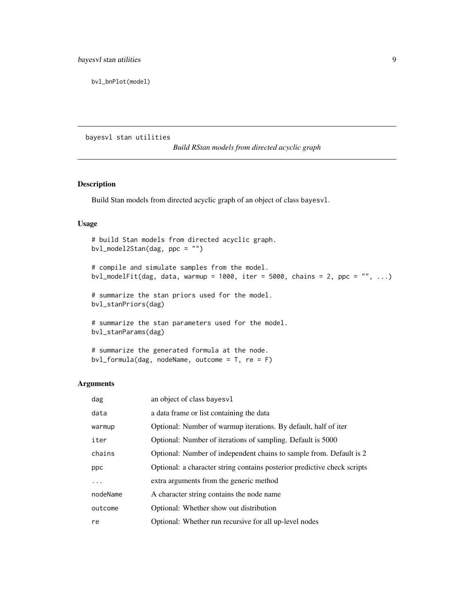<span id="page-8-0"></span>bvl\_bnPlot(model)

bayesvl stan utilities

*Build RStan models from directed acyclic graph*

# <span id="page-8-1"></span>Description

Build Stan models from directed acyclic graph of an object of class bayesvl.

## Usage

```
# build Stan models from directed acyclic graph.
bvl_model2Stan(dag, ppc = "")
# compile and simulate samples from the model.
bvl_modelFit(dag, data, warmup = 1000, iter = 5000, chains = 2, ppc = "", ...)
# summarize the stan priors used for the model.
bvl_stanPriors(dag)
# summarize the stan parameters used for the model.
bvl_stanParams(dag)
```
# summarize the generated formula at the node. bvl\_formula(dag, nodeName, outcome = T, re = F)

# Arguments

| dag      | an object of class bayes vl                                              |
|----------|--------------------------------------------------------------------------|
| data     | a data frame or list containing the data                                 |
| warmup   | Optional: Number of warmup iterations. By default, half of iter          |
| iter     | Optional: Number of iterations of sampling. Default is 5000              |
| chains   | Optional: Number of independent chains to sample from. Default is 2      |
| ppc      | Optional: a character string contains posterior predictive check scripts |
| .        | extra arguments from the generic method                                  |
| nodeName | A character string contains the node name                                |
| outcome  | Optional: Whether show out distribution                                  |
| re       | Optional: Whether run recursive for all up-level nodes                   |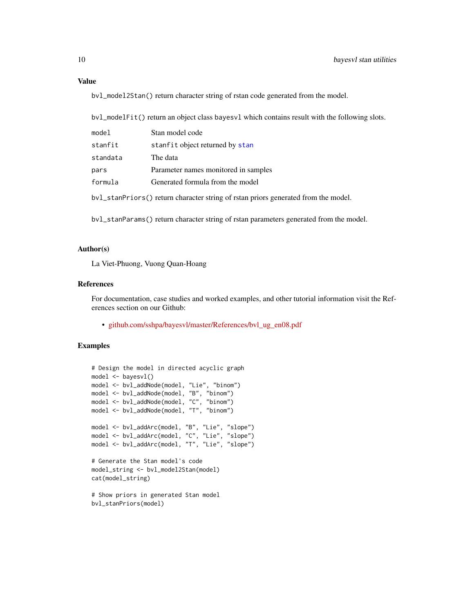# <span id="page-9-0"></span>Value

bvl\_model2Stan() return character string of rstan code generated from the model.

bvl\_modelFit() return an object class bayesvl which contains result with the following slots.

| model                                                                              | Stan model code                      |  |  |
|------------------------------------------------------------------------------------|--------------------------------------|--|--|
| stanfit                                                                            | stanfit object returned by stan      |  |  |
| standata                                                                           | The data                             |  |  |
| pars                                                                               | Parameter names monitored in samples |  |  |
| formula                                                                            | Generated formula from the model     |  |  |
| bv1_stanPriors() return character string of rstan priors generated from the model. |                                      |  |  |

bvl\_stanParams() return character string of rstan parameters generated from the model.

# Author(s)

La Viet-Phuong, Vuong Quan-Hoang

# References

For documentation, case studies and worked examples, and other tutorial information visit the References section on our Github:

• [github.com/sshpa/bayesvl/master/References/bvl\\_ug\\_en08.pdf](https://github.com/sshpa/bayesvl/raw/master/References/bvl_ug_en08.pdf)

```
# Design the model in directed acyclic graph
model <- bayesvl()
model <- bvl_addNode(model, "Lie", "binom")
model <- bvl_addNode(model, "B", "binom")
model <- bvl_addNode(model, "C", "binom")
model <- bvl_addNode(model, "T", "binom")
model <- bvl_addArc(model, "B", "Lie", "slope")
model <- bvl_addArc(model, "C", "Lie", "slope")
model <- bvl_addArc(model, "T", "Lie", "slope")
# Generate the Stan model's code
model_string <- bvl_model2Stan(model)
cat(model_string)
# Show priors in generated Stan model
bvl_stanPriors(model)
```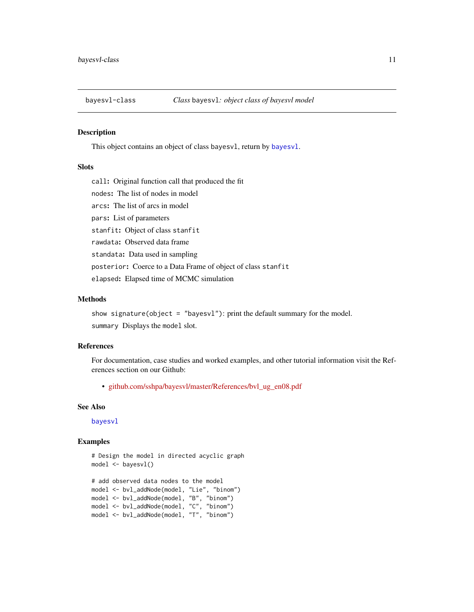<span id="page-10-1"></span><span id="page-10-0"></span>

# Description

This object contains an object of class bayesvl, return by [bayesvl](#page-1-1).

#### Slots

call: Original function call that produced the fit nodes: The list of nodes in model arcs: The list of arcs in model pars: List of parameters stanfit: Object of class stanfit rawdata: Observed data frame standata: Data used in sampling posterior: Coerce to a Data Frame of object of class stanfit elapsed: Elapsed time of MCMC simulation

# Methods

show signature(object = "bayesvl"): print the default summary for the model. summary Displays the model slot.

#### References

For documentation, case studies and worked examples, and other tutorial information visit the References section on our Github:

• [github.com/sshpa/bayesvl/master/References/bvl\\_ug\\_en08.pdf](https://github.com/sshpa/bayesvl/raw/master/References/bvl_ug_en08.pdf)

# See Also

[bayesvl](#page-1-1)

```
# Design the model in directed acyclic graph
model <- bayesvl()
# add observed data nodes to the model
model <- bvl_addNode(model, "Lie", "binom")
model <- bvl_addNode(model, "B", "binom")
model <- bvl_addNode(model, "C", "binom")
```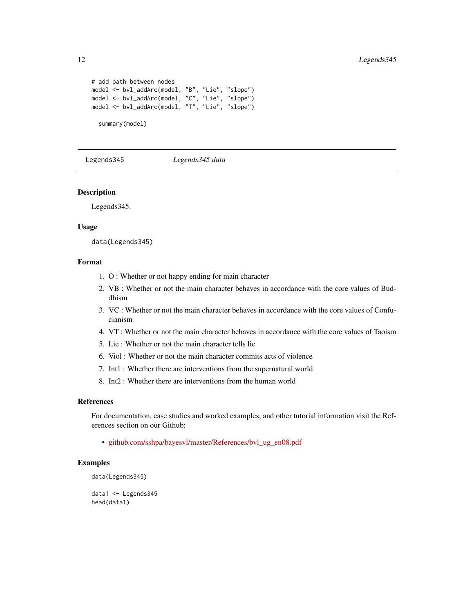```
# add path between nodes
model <- bvl_addArc(model, "B", "Lie", "slope")
model <- bvl_addArc(model, "C", "Lie", "slope")
model <- bvl_addArc(model, "T", "Lie", "slope")
 summary(model)
```
Legends345 *Legends345 data*

#### Description

Legends345.

#### Usage

data(Legends345)

# Format

- 1. O : Whether or not happy ending for main character
- 2. VB : Whether or not the main character behaves in accordance with the core values of Buddhism
- 3. VC : Whether or not the main character behaves in accordance with the core values of Confucianism
- 4. VT : Whether or not the main character behaves in accordance with the core values of Taoism
- 5. Lie : Whether or not the main character tells lie
- 6. Viol : Whether or not the main character commits acts of violence
- 7. Int1 : Whether there are interventions from the supernatural world
- 8. Int2 : Whether there are interventions from the human world

#### References

For documentation, case studies and worked examples, and other tutorial information visit the References section on our Github:

• [github.com/sshpa/bayesvl/master/References/bvl\\_ug\\_en08.pdf](https://github.com/sshpa/bayesvl/raw/master/References/bvl_ug_en08.pdf)

```
data(Legends345)
```

```
data1 <- Legends345
head(data1)
```
<span id="page-11-0"></span>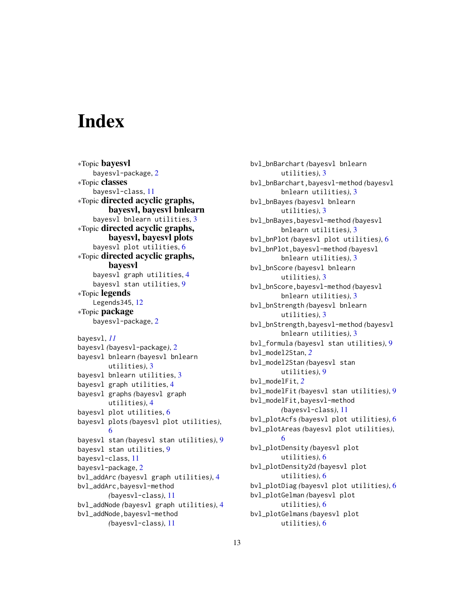# <span id="page-12-0"></span>**Index**

∗Topic bayesvl bayesvl-package, [2](#page-1-0) ∗Topic classes bayesvl-class, [11](#page-10-0) ∗Topic directed acyclic graphs, bayesvl, bayesvl bnlearn bayesvl bnlearn utilities, [3](#page-2-0) ∗Topic directed acyclic graphs, bayesvl, bayesvl plots bayesvl plot utilities, [6](#page-5-0) ∗Topic directed acyclic graphs, bayesvl bayesvl graph utilities, [4](#page-3-0) bayesvl stan utilities, [9](#page-8-0) ∗Topic legends Legends345, [12](#page-11-0) ∗Topic package bayesvl-package, [2](#page-1-0) bayesvl, *[11](#page-10-0)* bayesvl *(*bayesvl-package*)*, [2](#page-1-0) bayesvl bnlearn *(*bayesvl bnlearn utilities*)*, [3](#page-2-0) bayesvl bnlearn utilities, [3](#page-2-0) bayesvl graph utilities, [4](#page-3-0) bayesvl graphs *(*bayesvl graph utilities*)*, [4](#page-3-0) bayesvl plot utilities, [6](#page-5-0) bayesvl plots *(*bayesvl plot utilities*)*, [6](#page-5-0) bayesvl stan *(*bayesvl stan utilities*)*, [9](#page-8-0) bayesvl stan utilities, [9](#page-8-0) bayesvl-class, [11](#page-10-0) bayesvl-package, [2](#page-1-0) bvl\_addArc *(*bayesvl graph utilities*)*, [4](#page-3-0) bvl\_addArc,bayesvl-method *(*bayesvl-class*)*, [11](#page-10-0) bvl\_addNode *(*bayesvl graph utilities*)*, [4](#page-3-0) bvl\_addNode,bayesvl-method *(*bayesvl-class*)*, [11](#page-10-0)

bvl\_bnBarchart *(*bayesvl bnlearn utilities*)*, [3](#page-2-0) bvl\_bnBarchart,bayesvl-method *(*bayesvl bnlearn utilities*)*, [3](#page-2-0) bvl\_bnBayes *(*bayesvl bnlearn utilities*)*, [3](#page-2-0) bvl\_bnBayes,bayesvl-method *(*bayesvl bnlearn utilities*)*, [3](#page-2-0) bvl\_bnPlot *(*bayesvl plot utilities*)*, [6](#page-5-0) bvl\_bnPlot,bayesvl-method *(*bayesvl bnlearn utilities*)*, [3](#page-2-0) bvl\_bnScore *(*bayesvl bnlearn utilities*)*, [3](#page-2-0) bvl\_bnScore,bayesvl-method *(*bayesvl bnlearn utilities*)*, [3](#page-2-0) bvl\_bnStrength *(*bayesvl bnlearn utilities*)*, [3](#page-2-0) bvl\_bnStrength,bayesvl-method *(*bayesvl bnlearn utilities*)*, [3](#page-2-0) bvl\_formula *(*bayesvl stan utilities*)*, [9](#page-8-0) bvl\_model2Stan, *[2](#page-1-0)* bvl\_model2Stan *(*bayesvl stan utilities*)*, [9](#page-8-0) bvl\_modelFit, *[2](#page-1-0)* bvl\_modelFit *(*bayesvl stan utilities*)*, [9](#page-8-0) bvl\_modelFit,bayesvl-method *(*bayesvl-class*)*, [11](#page-10-0) bvl\_plotAcfs *(*bayesvl plot utilities*)*, [6](#page-5-0) bvl\_plotAreas *(*bayesvl plot utilities*)*, [6](#page-5-0) bvl\_plotDensity *(*bayesvl plot utilities*)*, [6](#page-5-0) bvl\_plotDensity2d *(*bayesvl plot utilities*)*, [6](#page-5-0) bvl\_plotDiag *(*bayesvl plot utilities*)*, [6](#page-5-0) bvl\_plotGelman *(*bayesvl plot utilities*)*, [6](#page-5-0) bvl\_plotGelmans *(*bayesvl plot utilities*)*, [6](#page-5-0)